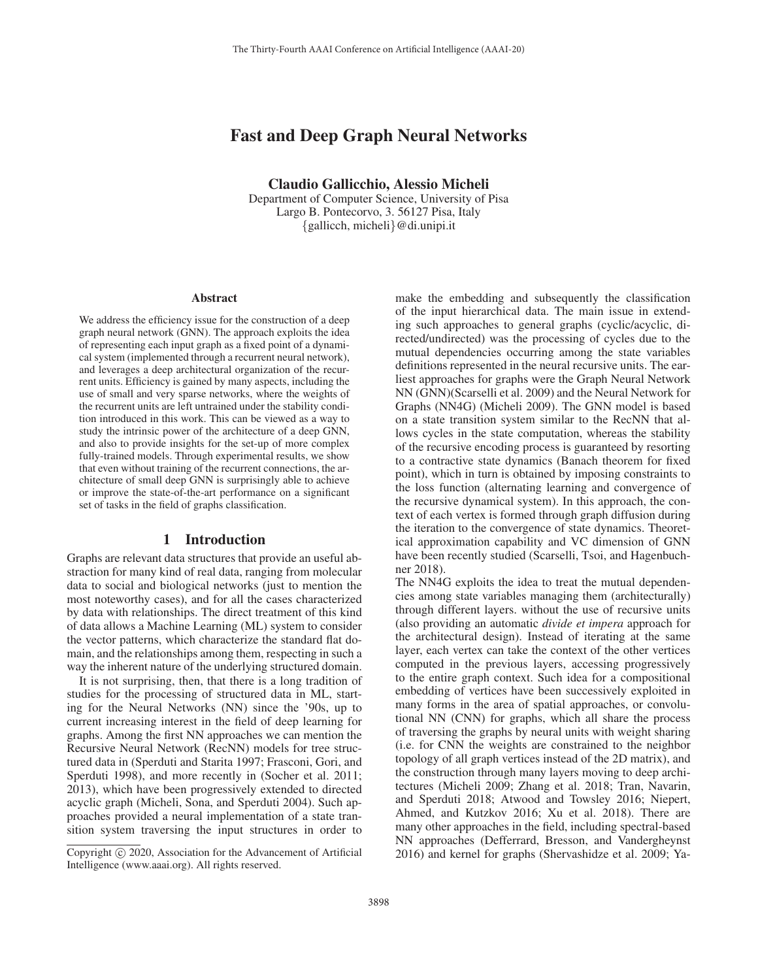# Fast and Deep Graph Neural Networks

Claudio Gallicchio, Alessio Micheli Department of Computer Science, University of Pisa

> Largo B. Pontecorvo, 3. 56127 Pisa, Italy {gallicch, micheli}@di.unipi.it

#### **Abstract**

We address the efficiency issue for the construction of a deep graph neural network (GNN). The approach exploits the idea of representing each input graph as a fixed point of a dynamical system (implemented through a recurrent neural network), and leverages a deep architectural organization of the recurrent units. Efficiency is gained by many aspects, including the use of small and very sparse networks, where the weights of the recurrent units are left untrained under the stability condition introduced in this work. This can be viewed as a way to study the intrinsic power of the architecture of a deep GNN, and also to provide insights for the set-up of more complex fully-trained models. Through experimental results, we show that even without training of the recurrent connections, the architecture of small deep GNN is surprisingly able to achieve or improve the state-of-the-art performance on a significant set of tasks in the field of graphs classification.

#### 1 Introduction

Graphs are relevant data structures that provide an useful abstraction for many kind of real data, ranging from molecular data to social and biological networks (just to mention the most noteworthy cases), and for all the cases characterized by data with relationships. The direct treatment of this kind of data allows a Machine Learning (ML) system to consider the vector patterns, which characterize the standard flat domain, and the relationships among them, respecting in such a way the inherent nature of the underlying structured domain.

It is not surprising, then, that there is a long tradition of studies for the processing of structured data in ML, starting for the Neural Networks (NN) since the '90s, up to current increasing interest in the field of deep learning for graphs. Among the first NN approaches we can mention the Recursive Neural Network (RecNN) models for tree structured data in (Sperduti and Starita 1997; Frasconi, Gori, and Sperduti 1998), and more recently in (Socher et al. 2011; 2013), which have been progressively extended to directed acyclic graph (Micheli, Sona, and Sperduti 2004). Such approaches provided a neural implementation of a state transition system traversing the input structures in order to

make the embedding and subsequently the classification of the input hierarchical data. The main issue in extending such approaches to general graphs (cyclic/acyclic, directed/undirected) was the processing of cycles due to the mutual dependencies occurring among the state variables definitions represented in the neural recursive units. The earliest approaches for graphs were the Graph Neural Network NN (GNN)(Scarselli et al. 2009) and the Neural Network for Graphs (NN4G) (Micheli 2009). The GNN model is based on a state transition system similar to the RecNN that allows cycles in the state computation, whereas the stability of the recursive encoding process is guaranteed by resorting to a contractive state dynamics (Banach theorem for fixed point), which in turn is obtained by imposing constraints to the loss function (alternating learning and convergence of the recursive dynamical system). In this approach, the context of each vertex is formed through graph diffusion during the iteration to the convergence of state dynamics. Theoretical approximation capability and VC dimension of GNN have been recently studied (Scarselli, Tsoi, and Hagenbuchner 2018).

The NN4G exploits the idea to treat the mutual dependencies among state variables managing them (architecturally) through different layers. without the use of recursive units (also providing an automatic *divide et impera* approach for the architectural design). Instead of iterating at the same layer, each vertex can take the context of the other vertices computed in the previous layers, accessing progressively to the entire graph context. Such idea for a compositional embedding of vertices have been successively exploited in many forms in the area of spatial approaches, or convolutional NN (CNN) for graphs, which all share the process of traversing the graphs by neural units with weight sharing (i.e. for CNN the weights are constrained to the neighbor topology of all graph vertices instead of the 2D matrix), and the construction through many layers moving to deep architectures (Micheli 2009; Zhang et al. 2018; Tran, Navarin, and Sperduti 2018; Atwood and Towsley 2016; Niepert, Ahmed, and Kutzkov 2016; Xu et al. 2018). There are many other approaches in the field, including spectral-based NN approaches (Defferrard, Bresson, and Vandergheynst 2016) and kernel for graphs (Shervashidze et al. 2009; Ya-

Copyright  $\odot$  2020, Association for the Advancement of Artificial Intelligence (www.aaai.org). All rights reserved.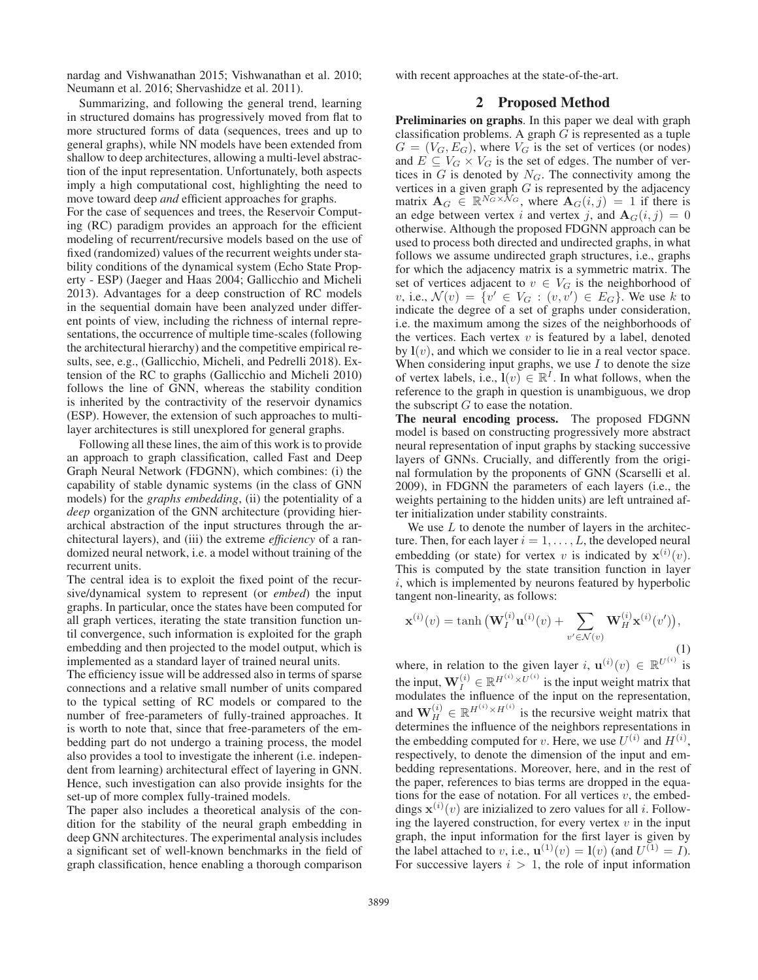nardag and Vishwanathan 2015; Vishwanathan et al. 2010; Neumann et al. 2016; Shervashidze et al. 2011).

Summarizing, and following the general trend, learning in structured domains has progressively moved from flat to more structured forms of data (sequences, trees and up to general graphs), while NN models have been extended from shallow to deep architectures, allowing a multi-level abstraction of the input representation. Unfortunately, both aspects imply a high computational cost, highlighting the need to move toward deep *and* efficient approaches for graphs.

For the case of sequences and trees, the Reservoir Computing (RC) paradigm provides an approach for the efficient modeling of recurrent/recursive models based on the use of fixed (randomized) values of the recurrent weights under stability conditions of the dynamical system (Echo State Property - ESP) (Jaeger and Haas 2004; Gallicchio and Micheli 2013). Advantages for a deep construction of RC models in the sequential domain have been analyzed under different points of view, including the richness of internal representations, the occurrence of multiple time-scales (following the architectural hierarchy) and the competitive empirical results, see, e.g., (Gallicchio, Micheli, and Pedrelli 2018). Extension of the RC to graphs (Gallicchio and Micheli 2010) follows the line of GNN, whereas the stability condition is inherited by the contractivity of the reservoir dynamics (ESP). However, the extension of such approaches to multilayer architectures is still unexplored for general graphs.

Following all these lines, the aim of this work is to provide an approach to graph classification, called Fast and Deep Graph Neural Network (FDGNN), which combines: (i) the capability of stable dynamic systems (in the class of GNN models) for the *graphs embedding*, (ii) the potentiality of a *deep* organization of the GNN architecture (providing hierarchical abstraction of the input structures through the architectural layers), and (iii) the extreme *efficiency* of a randomized neural network, i.e. a model without training of the recurrent units.

The central idea is to exploit the fixed point of the recursive/dynamical system to represent (or *embed*) the input graphs. In particular, once the states have been computed for all graph vertices, iterating the state transition function until convergence, such information is exploited for the graph embedding and then projected to the model output, which is implemented as a standard layer of trained neural units.

The efficiency issue will be addressed also in terms of sparse connections and a relative small number of units compared to the typical setting of RC models or compared to the number of free-parameters of fully-trained approaches. It is worth to note that, since that free-parameters of the embedding part do not undergo a training process, the model also provides a tool to investigate the inherent (i.e. independent from learning) architectural effect of layering in GNN. Hence, such investigation can also provide insights for the set-up of more complex fully-trained models.

The paper also includes a theoretical analysis of the condition for the stability of the neural graph embedding in deep GNN architectures. The experimental analysis includes a significant set of well-known benchmarks in the field of graph classification, hence enabling a thorough comparison with recent approaches at the state-of-the-art.

### 2 Proposed Method

Preliminaries on graphs. In this paper we deal with graph classification problems. A graph  $G$  is represented as a tuple  $G = (V_G, E_G)$ , where  $V_G$  is the set of vertices (or nodes) and  $E \subseteq V_G \times V_G$  is the set of edges. The number of vertices in  $G$  is denoted by  $N_G$ . The connectivity among the vertices in a given graph  $G$  is represented by the adjacency matrix  $\mathbf{A}_G \in \mathbb{R}^{N_G \times N_G}$ , where  $\mathbf{A}_G(i,j)=1$  if there is an edge between vertex i and vertex j, and  $A_G(i, j) = 0$ otherwise. Although the proposed FDGNN approach can be used to process both directed and undirected graphs, in what follows we assume undirected graph structures, i.e., graphs for which the adjacency matrix is a symmetric matrix. The set of vertices adjacent to  $v \in V_G$  is the neighborhood of  $v, \text{ i.e., } \mathcal{N}(v) = \{v' \in V_G : (v, v') \in E_G\}.$  We use k to indicate the degree of a set of graphs under consideration, i.e. the maximum among the sizes of the neighborhoods of the vertices. Each vertex  $v$  is featured by a label, denoted by  $\mathbf{l}(v)$ , and which we consider to lie in a real vector space. When considering input graphs, we use  $I$  to denote the size of vertex labels, i.e.,  $\mathbf{l}(v) \in \mathbb{R}^I$ . In what follows, when the reference to the graph in question is unambiguous, we drop the subscript  $G$  to ease the notation.

The neural encoding process. The proposed FDGNN model is based on constructing progressively more abstract neural representation of input graphs by stacking successive layers of GNNs. Crucially, and differently from the original formulation by the proponents of GNN (Scarselli et al. 2009), in FDGNN the parameters of each layers (i.e., the weights pertaining to the hidden units) are left untrained after initialization under stability constraints.

We use  $L$  to denote the number of layers in the architecture. Then, for each layer  $i = 1, \ldots, L$ , the developed neural embedding (or state) for vertex v is indicated by  $\mathbf{x}^{(i)}(v)$ . This is computed by the state transition function in layer  $i$ , which is implemented by neurons featured by hyperbolic tangent non-linearity, as follows:

$$
\mathbf{x}^{(i)}(v) = \tanh\left(\mathbf{W}_I^{(i)}\mathbf{u}^{(i)}(v) + \sum_{v' \in \mathcal{N}(v)} \mathbf{W}_H^{(i)}\mathbf{x}^{(i)}(v')\right),\tag{1}
$$

where, in relation to the given layer i,  $\mathbf{u}^{(i)}(v) \in \mathbb{R}^{U^{(i)}}$  is the input,  $\mathbf{W}_I^{(i)} \in \mathbb{R}^{H^{(i)} \times U^{(i)}}$  is the input weight matrix that modulates the influence of the input on the representation, and  $\mathbf{W}_{H}^{(i)} \in \mathbb{R}^{H^{(i)} \times H^{(i)}}$  is the recursive weight matrix that determines the influence of the neighbors representations in the embedding computed for v. Here, we use  $U^{(i)}$  and  $H^{(i)}$ , respectively, to denote the dimension of the input and embedding representations. Moreover, here, and in the rest of the paper, references to bias terms are dropped in the equations for the ease of notation. For all vertices  $v$ , the embeddings  $\mathbf{x}^{(i)}(v)$  are inizialized to zero values for all *i*. Following the layered construction, for every vertex  $v$  in the input graph, the input information for the first layer is given by the label attached to v, i.e.,  $\mathbf{u}^{(1)}(v) = \mathbf{l}(v)$  (and  $U^{(1)} = I$ ). For successive layers  $i > 1$ , the role of input information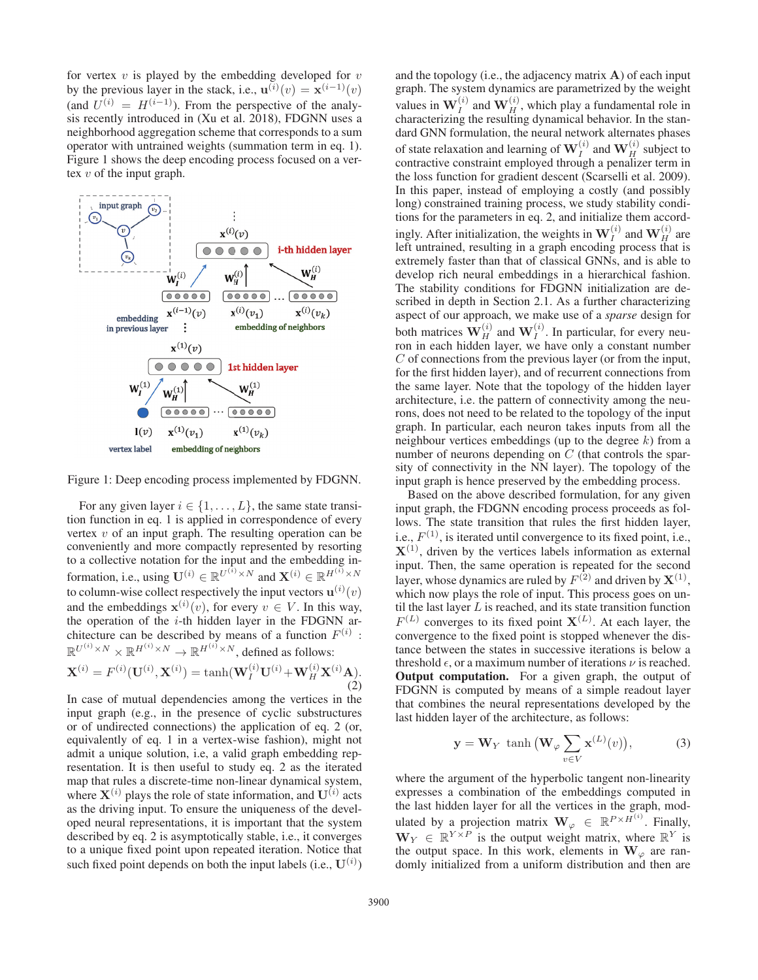for vertex  $v$  is played by the embedding developed for  $v$ by the previous layer in the stack, i.e.,  $\mathbf{u}^{(i)}(v) = \mathbf{x}^{(i-1)}(v)$ (and  $U^{(i)} = H^{(i-1)}$ ). From the perspective of the analysis recently introduced in (Xu et al. 2018), FDGNN uses a neighborhood aggregation scheme that corresponds to a sum operator with untrained weights (summation term in eq. 1). Figure 1 shows the deep encoding process focused on a vertex v of the input graph.



Figure 1: Deep encoding process implemented by FDGNN.

For any given layer  $i \in \{1, \ldots, L\}$ , the same state transition function in eq. 1 is applied in correspondence of every vertex  $v$  of an input graph. The resulting operation can be conveniently and more compactly represented by resorting to a collective notation for the input and the embedding information, i.e., using  $\mathbf{U}^{(i)} \in \mathbb{R}^{U^{(i)} \times N}$  and  $\mathbf{X}^{(i)} \in \mathbb{R}^{H^{(i)} \times N}$ to column-wise collect respectively the input vectors  $\mathbf{u}^{(i)}(v)$ and the embeddings  $\mathbf{x}^{(i)}(v)$ , for every  $v \in V$ . In this way, the operation of the  $i$ -th hidden layer in the FDGNN architecture can be described by means of a function  $F^{(i)}$ :  $\mathbb{R}^{U^{(i)} \times N} \times \mathbb{R}^{H^{(i)} \times N} \to \mathbb{R}^{H^{(i)} \times N}$ , defined as follows:

$$
\mathbf{X}^{(i)} = F^{(i)}(\mathbf{U}^{(i)}, \mathbf{X}^{(i)}) = \tanh(\mathbf{W}_I^{(i)} \mathbf{U}^{(i)} + \mathbf{W}_H^{(i)} \mathbf{X}^{(i)} \mathbf{A}).
$$
\n(2)

In case of mutual dependencies among the vertices in the input graph (e.g., in the presence of cyclic substructures or of undirected connections) the application of eq. 2 (or, equivalently of eq. 1 in a vertex-wise fashion), might not admit a unique solution, i.e, a valid graph embedding representation. It is then useful to study eq. 2 as the iterated map that rules a discrete-time non-linear dynamical system, where  $X^{(i)}$  plays the role of state information, and  $U^{(i)}$  acts as the driving input. To ensure the uniqueness of the developed neural representations, it is important that the system described by eq. 2 is asymptotically stable, i.e., it converges to a unique fixed point upon repeated iteration. Notice that such fixed point depends on both the input labels  $(i.e., U^{(i)})$ 

and the topology (i.e., the adjacency matrix **A**) of each input graph. The system dynamics are parametrized by the weight values in  $W_I^{(i)}$  and  $W_H^{(i)}$ , which play a fundamental role in characterizing the resulting dynamical behavior. In the standard GNN formulation, the neural network alternates phases of state relaxation and learning of  $\mathbf{W}_I^{(i)}$  and  $\mathbf{W}_H^{(i)}$  subject to contractive constraint employed through a penalizer term in the loss function for gradient descent (Scarselli et al. 2009). In this paper, instead of employing a costly (and possibly long) constrained training process, we study stability conditions for the parameters in eq. 2, and initialize them accordingly. After initialization, the weights in  $W_I^{(i)}$  and  $W_H^{(i)}$  are left untrained, resulting in a graph encoding process that is extremely faster than that of classical GNNs, and is able to develop rich neural embeddings in a hierarchical fashion. The stability conditions for FDGNN initialization are described in depth in Section 2.1. As a further characterizing aspect of our approach, we make use of a *sparse* design for both matrices  $\mathbf{W}_{H}^{(i)}$  and  $\mathbf{W}_{I}^{(i)}$ . In particular, for every neuron in each hidden layer, we have only a constant number  $C$  of connections from the previous layer (or from the input, for the first hidden layer), and of recurrent connections from the same layer. Note that the topology of the hidden layer architecture, i.e. the pattern of connectivity among the neurons, does not need to be related to the topology of the input graph. In particular, each neuron takes inputs from all the neighbour vertices embeddings (up to the degree  $k$ ) from a number of neurons depending on C (that controls the sparsity of connectivity in the NN layer). The topology of the input graph is hence preserved by the embedding process.

Based on the above described formulation, for any given input graph, the FDGNN encoding process proceeds as follows. The state transition that rules the first hidden layer, i.e.,  $F^{(1)}$ , is iterated until convergence to its fixed point, i.e.,  $X^{(1)}$ , driven by the vertices labels information as external input. Then, the same operation is repeated for the second layer, whose dynamics are ruled by  $F^{(2)}$  and driven by  $X^{(1)}$ , which now plays the role of input. This process goes on until the last layer  $L$  is reached, and its state transition function  $F^{(L)}$  converges to its fixed point  $X^{(L)}$ . At each layer, the convergence to the fixed point is stopped whenever the distance between the states in successive iterations is below a threshold  $\epsilon$ , or a maximum number of iterations  $\nu$  is reached. Output computation. For a given graph, the output of FDGNN is computed by means of a simple readout layer that combines the neural representations developed by the last hidden layer of the architecture, as follows:

$$
\mathbf{y} = \mathbf{W}_Y \tanh\left(\mathbf{W}_{\varphi} \sum_{v \in V} \mathbf{x}^{(L)}(v)\right),\tag{3}
$$

where the argument of the hyperbolic tangent non-linearity expresses a combination of the embeddings computed in the last hidden layer for all the vertices in the graph, modulated by a projection matrix  $\mathbf{W}_{\varphi} \in \mathbb{R}^{P \times H^{(i)}}$ . Finally,  $W_Y \in \mathbb{R}^{Y \times P}$  is the output weight matrix, where  $\mathbb{R}^Y$  is the output space. In this work, elements in  $W_{\varphi}$  are randomly initialized from a uniform distribution and then are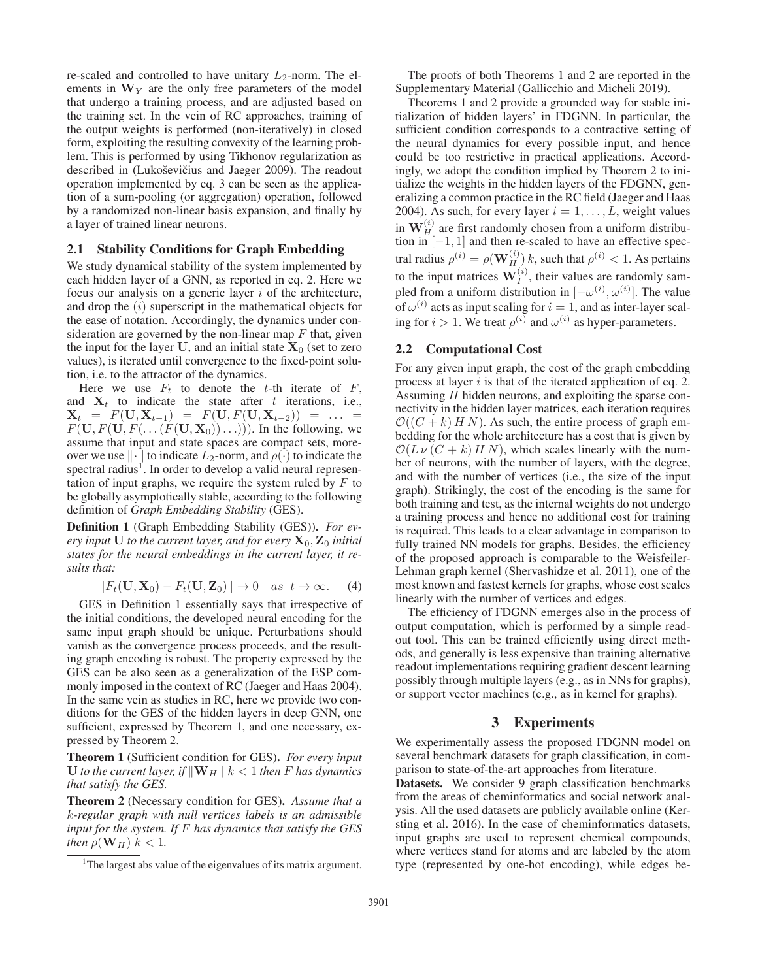re-scaled and controlled to have unitary  $L_2$ -norm. The elements in  $W<sub>Y</sub>$  are the only free parameters of the model that undergo a training process, and are adjusted based on the training set. In the vein of RC approaches, training of the output weights is performed (non-iteratively) in closed form, exploiting the resulting convexity of the learning problem. This is performed by using Tikhonov regularization as described in (Lukoševičius and Jaeger 2009). The readout operation implemented by eq. 3 can be seen as the application of a sum-pooling (or aggregation) operation, followed by a randomized non-linear basis expansion, and finally by a layer of trained linear neurons.

#### 2.1 Stability Conditions for Graph Embedding

We study dynamical stability of the system implemented by each hidden layer of a GNN, as reported in eq. 2. Here we focus our analysis on a generic layer  $i$  of the architecture, and drop the  $(i)$  superscript in the mathematical objects for the ease of notation. Accordingly, the dynamics under consideration are governed by the non-linear map  $F$  that, given the input for the layer  $U$ , and an initial state  $X_0$  (set to zero values), is iterated until convergence to the fixed-point solution, i.e. to the attractor of the dynamics.

Here we use  $F_t$  to denote the t-th iterate of  $F$ , and  $X_t$  to indicate the state after t iterations, i.e.,  $\mathbf{X}_t = F(\mathbf{U}, \mathbf{X}_{t-1}) = F(\mathbf{U}, F(\mathbf{U}, \mathbf{X}_{t-2})) = \dots$  $F(\mathbf{U}, F(\mathbf{U}, F(\dots(F(\mathbf{U}, \mathbf{X}_0))\dots)))$ . In the following, we assume that input and state spaces are compact sets, moreover we use  $\|\cdot\|$  to indicate  $L_2$ -norm, and  $\rho(\cdot)$  to indicate the spectral radius<sup>1</sup>. In order to develop a valid neural representation of input graphs, we require the system ruled by  $F$  to be globally asymptotically stable, according to the following definition of *Graph Embedding Stability* (GES).

Definition 1 (Graph Embedding Stability (GES)). *For every input* **U** *to the current layer, and for every*  $\mathbf{X}_0$ *,*  $\mathbf{Z}_0$  *initial states for the neural embeddings in the current layer, it results that:*

$$
||F_t(\mathbf{U}, \mathbf{X}_0) - F_t(\mathbf{U}, \mathbf{Z}_0)|| \to 0 \quad as \quad t \to \infty. \tag{4}
$$

GES in Definition 1 essentially says that irrespective of the initial conditions, the developed neural encoding for the same input graph should be unique. Perturbations should vanish as the convergence process proceeds, and the resulting graph encoding is robust. The property expressed by the GES can be also seen as a generalization of the ESP commonly imposed in the context of RC (Jaeger and Haas 2004). In the same vein as studies in RC, here we provide two conditions for the GES of the hidden layers in deep GNN, one sufficient, expressed by Theorem 1, and one necessary, expressed by Theorem 2.

Theorem 1 (Sufficient condition for GES). *For every input* **U** *to the current layer, if*  $\|\mathbf{W}_H\|$   $k < 1$  *then* F *has dynamics that satisfy the GES.*

Theorem 2 (Necessary condition for GES). *Assume that a* k*-regular graph with null vertices labels is an admissible input for the system. If* F *has dynamics that satisfy the GES then*  $\rho(\mathbf{W}_H)$   $k < 1$ *.* 

The proofs of both Theorems 1 and 2 are reported in the Supplementary Material (Gallicchio and Micheli 2019).

Theorems 1 and 2 provide a grounded way for stable initialization of hidden layers' in FDGNN. In particular, the sufficient condition corresponds to a contractive setting of the neural dynamics for every possible input, and hence could be too restrictive in practical applications. Accordingly, we adopt the condition implied by Theorem 2 to initialize the weights in the hidden layers of the FDGNN, generalizing a common practice in the RC field (Jaeger and Haas 2004). As such, for every layer  $i = 1, \ldots, L$ , weight values in  $W_H^{(i)}$  are first randomly chosen from a uniform distribution in  $[-1, 1]$  and then re-scaled to have an effective spectral radius  $\rho^{(i)} = \rho(\mathbf{W}_{H}^{(i)})$  k, such that  $\rho^{(i)} < 1$ . As pertains to the input matrices  $W_I^{(i)}$ , their values are randomly sampled from a uniform distribution in  $[-\omega^{(i)}, \omega^{(i)}]$ . The value of  $\omega^{(i)}$  acts as input scaling for  $i = 1$ , and as inter-layer scaling for  $i > 1$ . We treat  $\rho^{(i)}$  and  $\omega^{(i)}$  as hyper-parameters.

#### 2.2 Computational Cost

For any given input graph, the cost of the graph embedding process at layer  $i$  is that of the iterated application of eq. 2. Assuming H hidden neurons, and exploiting the sparse connectivity in the hidden layer matrices, each iteration requires  $\mathcal{O}((C + k) H N)$ . As such, the entire process of graph embedding for the whole architecture has a cost that is given by  $\mathcal{O}(L \nu (C + k) H N)$ , which scales linearly with the number of neurons, with the number of layers, with the degree, and with the number of vertices (i.e., the size of the input graph). Strikingly, the cost of the encoding is the same for both training and test, as the internal weights do not undergo a training process and hence no additional cost for training is required. This leads to a clear advantage in comparison to fully trained NN models for graphs. Besides, the efficiency of the proposed approach is comparable to the Weisfeiler-Lehman graph kernel (Shervashidze et al. 2011), one of the most known and fastest kernels for graphs, whose cost scales linearly with the number of vertices and edges.

The efficiency of FDGNN emerges also in the process of output computation, which is performed by a simple readout tool. This can be trained efficiently using direct methods, and generally is less expensive than training alternative readout implementations requiring gradient descent learning possibly through multiple layers (e.g., as in NNs for graphs), or support vector machines (e.g., as in kernel for graphs).

# 3 Experiments

We experimentally assess the proposed FDGNN model on several benchmark datasets for graph classification, in comparison to state-of-the-art approaches from literature.

Datasets. We consider 9 graph classification benchmarks from the areas of cheminformatics and social network analysis. All the used datasets are publicly available online (Kersting et al. 2016). In the case of cheminformatics datasets, input graphs are used to represent chemical compounds, where vertices stand for atoms and are labeled by the atom type (represented by one-hot encoding), while edges be-

<sup>&</sup>lt;sup>1</sup>The largest abs value of the eigenvalues of its matrix argument.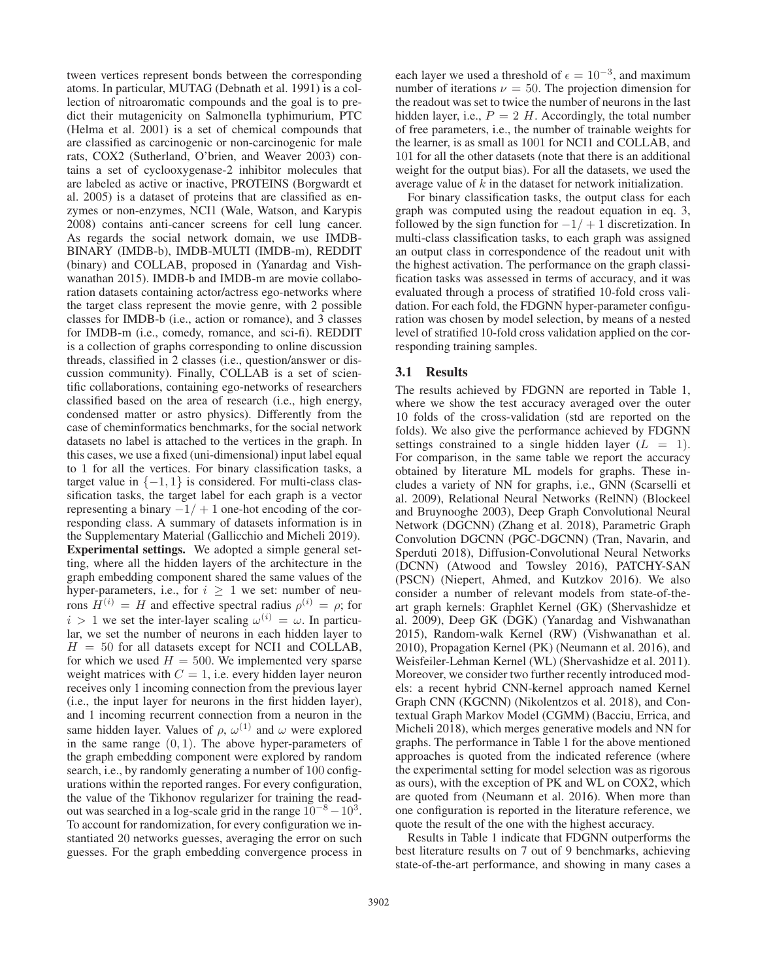tween vertices represent bonds between the corresponding atoms. In particular, MUTAG (Debnath et al. 1991) is a collection of nitroaromatic compounds and the goal is to predict their mutagenicity on Salmonella typhimurium, PTC (Helma et al. 2001) is a set of chemical compounds that are classified as carcinogenic or non-carcinogenic for male rats, COX2 (Sutherland, O'brien, and Weaver 2003) contains a set of cyclooxygenase-2 inhibitor molecules that are labeled as active or inactive, PROTEINS (Borgwardt et al. 2005) is a dataset of proteins that are classified as enzymes or non-enzymes, NCI1 (Wale, Watson, and Karypis 2008) contains anti-cancer screens for cell lung cancer. As regards the social network domain, we use IMDB-BINARY (IMDB-b), IMDB-MULTI (IMDB-m), REDDIT (binary) and COLLAB, proposed in (Yanardag and Vishwanathan 2015). IMDB-b and IMDB-m are movie collaboration datasets containing actor/actress ego-networks where the target class represent the movie genre, with 2 possible classes for IMDB-b (i.e., action or romance), and 3 classes for IMDB-m (i.e., comedy, romance, and sci-fi). REDDIT is a collection of graphs corresponding to online discussion threads, classified in 2 classes (i.e., question/answer or discussion community). Finally, COLLAB is a set of scientific collaborations, containing ego-networks of researchers classified based on the area of research (i.e., high energy, condensed matter or astro physics). Differently from the case of cheminformatics benchmarks, for the social network datasets no label is attached to the vertices in the graph. In this cases, we use a fixed (uni-dimensional) input label equal to 1 for all the vertices. For binary classification tasks, a target value in  $\{-1, 1\}$  is considered. For multi-class classification tasks, the target label for each graph is a vector representing a binary  $-1/ + 1$  one-hot encoding of the corresponding class. A summary of datasets information is in the Supplementary Material (Gallicchio and Micheli 2019). Experimental settings. We adopted a simple general setting, where all the hidden layers of the architecture in the graph embedding component shared the same values of the hyper-parameters, i.e., for  $i \geq 1$  we set: number of neurons  $H^{(i)} = H$  and effective spectral radius  $\rho^{(i)} = \rho$ ; for  $i > 1$  we set the inter-layer scaling  $\omega^{(i)} = \omega$ . In particular, we set the number of neurons in each hidden layer to  $H = 50$  for all datasets except for NCI1 and COLLAB, for which we used  $H = 500$ . We implemented very sparse weight matrices with  $C = 1$ , i.e. every hidden layer neuron receives only 1 incoming connection from the previous layer (i.e., the input layer for neurons in the first hidden layer), and 1 incoming recurrent connection from a neuron in the same hidden layer. Values of  $\rho$ ,  $\omega^{(1)}$  and  $\omega$  were explored in the same range  $(0, 1)$ . The above hyper-parameters of the graph embedding component were explored by random search, i.e., by randomly generating a number of 100 configurations within the reported ranges. For every configuration, the value of the Tikhonov regularizer for training the readout was searched in a log-scale grid in the range  $10^{-8} - 10^{3}$ . To account for randomization, for every configuration we instantiated 20 networks guesses, averaging the error on such guesses. For the graph embedding convergence process in

each layer we used a threshold of  $\epsilon = 10^{-3}$ , and maximum number of iterations  $\nu = 50$ . The projection dimension for the readout was set to twice the number of neurons in the last hidden layer, i.e.,  $P = 2$  H. Accordingly, the total number of free parameters, i.e., the number of trainable weights for the learner, is as small as 1001 for NCI1 and COLLAB, and 101 for all the other datasets (note that there is an additional weight for the output bias). For all the datasets, we used the average value of  $k$  in the dataset for network initialization.

For binary classification tasks, the output class for each graph was computed using the readout equation in eq. 3, followed by the sign function for  $-1/ + 1$  discretization. In multi-class classification tasks, to each graph was assigned an output class in correspondence of the readout unit with the highest activation. The performance on the graph classification tasks was assessed in terms of accuracy, and it was evaluated through a process of stratified 10-fold cross validation. For each fold, the FDGNN hyper-parameter configuration was chosen by model selection, by means of a nested level of stratified 10-fold cross validation applied on the corresponding training samples.

### 3.1 Results

The results achieved by FDGNN are reported in Table 1, where we show the test accuracy averaged over the outer 10 folds of the cross-validation (std are reported on the folds). We also give the performance achieved by FDGNN settings constrained to a single hidden layer  $(L = 1)$ . For comparison, in the same table we report the accuracy obtained by literature ML models for graphs. These includes a variety of NN for graphs, i.e., GNN (Scarselli et al. 2009), Relational Neural Networks (RelNN) (Blockeel and Bruynooghe 2003), Deep Graph Convolutional Neural Network (DGCNN) (Zhang et al. 2018), Parametric Graph Convolution DGCNN (PGC-DGCNN) (Tran, Navarin, and Sperduti 2018), Diffusion-Convolutional Neural Networks (DCNN) (Atwood and Towsley 2016), PATCHY-SAN (PSCN) (Niepert, Ahmed, and Kutzkov 2016). We also consider a number of relevant models from state-of-theart graph kernels: Graphlet Kernel (GK) (Shervashidze et al. 2009), Deep GK (DGK) (Yanardag and Vishwanathan 2015), Random-walk Kernel (RW) (Vishwanathan et al. 2010), Propagation Kernel (PK) (Neumann et al. 2016), and Weisfeiler-Lehman Kernel (WL) (Shervashidze et al. 2011). Moreover, we consider two further recently introduced models: a recent hybrid CNN-kernel approach named Kernel Graph CNN (KGCNN) (Nikolentzos et al. 2018), and Contextual Graph Markov Model (CGMM) (Bacciu, Errica, and Micheli 2018), which merges generative models and NN for graphs. The performance in Table 1 for the above mentioned approaches is quoted from the indicated reference (where the experimental setting for model selection was as rigorous as ours), with the exception of PK and WL on COX2, which are quoted from (Neumann et al. 2016). When more than one configuration is reported in the literature reference, we quote the result of the one with the highest accuracy.

Results in Table 1 indicate that FDGNN outperforms the best literature results on 7 out of 9 benchmarks, achieving state-of-the-art performance, and showing in many cases a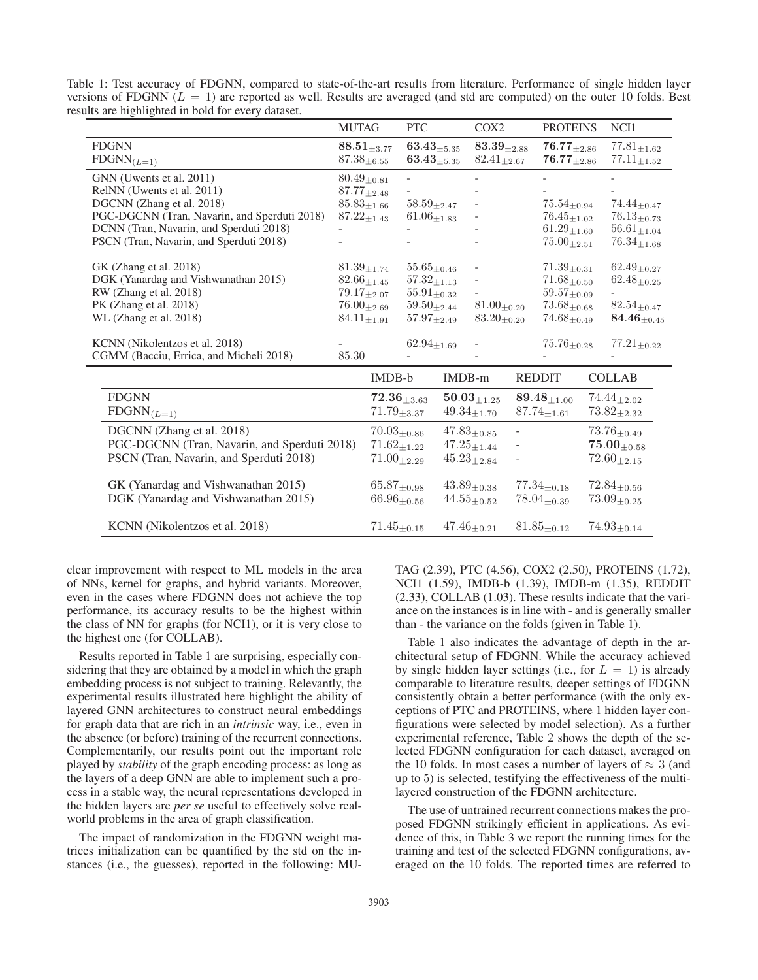| Table 1: Test accuracy of FDGNN, compared to state-of-the-art results from literature. Performance of single hidden layer   |  |  |  |  |  |  |  |
|-----------------------------------------------------------------------------------------------------------------------------|--|--|--|--|--|--|--|
| versions of FDGNN ( $L = 1$ ) are reported as well. Results are averaged (and std are computed) on the outer 10 folds. Best |  |  |  |  |  |  |  |
| results are highlighted in bold for every dataset.                                                                          |  |  |  |  |  |  |  |

|                                              | <b>MUTAG</b>       |                             | <b>PTC</b>                               |                                          | COX <sub>2</sub>   |                 | <b>PROTEINS</b>            |                    | NCI1                        |
|----------------------------------------------|--------------------|-----------------------------|------------------------------------------|------------------------------------------|--------------------|-----------------|----------------------------|--------------------|-----------------------------|
| <b>FDGNN</b>                                 |                    | $\textbf{88.51}_{\pm 3.77}$ | $63.43_{\pm 5.35}$                       |                                          | $83.39_{\pm 2.88}$ |                 | $76.77_{\pm 2.86}$         |                    | $77.81_{\pm 1.62}$          |
| $FDSNN_{(L=1)}$                              | $87.38_{\pm 6.55}$ |                             | $63.43_{\pm 5.35}$                       |                                          | $82.41_{\pm 2.67}$ |                 | $\mathbf{76.77}_{\pm2.86}$ |                    | $77.11_{\pm 1.52}$          |
| GNN (Uwents et al. 2011)                     | $80.49_{\pm 0.81}$ |                             |                                          |                                          |                    |                 |                            |                    |                             |
| RelNN (Uwents et al. 2011)                   | $87.77_{\pm 2.48}$ |                             |                                          |                                          |                    |                 |                            |                    |                             |
| DGCNN (Zhang et al. 2018)                    | $85.83_{\pm 1.66}$ |                             | $58.59_{\pm 2.47}$                       |                                          |                    |                 | $75.54_{\pm 0.94}$         |                    | $74.44_{\pm 0.47}$          |
| PGC-DGCNN (Tran, Navarin, and Sperduti 2018) | $87.22_{\pm1.43}$  |                             | $61.06_{+1.83}$                          |                                          |                    |                 | $76.45_{+1.02}$            |                    | $76.13_{\pm 0.73}$          |
| DCNN (Tran, Navarin, and Sperduti 2018)      |                    |                             |                                          |                                          |                    |                 | $61.29_{\pm 1.60}$         |                    | $56.61_{\pm 1.04}$          |
| PSCN (Tran, Navarin, and Sperduti 2018)      |                    |                             |                                          |                                          |                    | $75.00_{+2.51}$ |                            |                    | $76.34_{+1.68}$             |
| GK (Zhang et al. 2018)                       | $81.39_{\pm 1.74}$ |                             |                                          |                                          |                    |                 | $71.39_{\pm 0.31}$         |                    | $62.49_{\pm 0.27}$          |
| DGK (Yanardag and Vishwanathan 2015)         | $82.66_{\pm 1.45}$ |                             | $55.65_{\pm 0.46}$<br>$57.32_{\pm 1.13}$ |                                          |                    |                 | $71.68_{\pm 0.50}$         |                    | $62.48_{\pm 0.25}$          |
| RW (Zhang et al. 2018)                       | $79.17_{+2.07}$    |                             | $55.91_{\pm 0.32}$                       |                                          |                    | $59.57_{+0.09}$ |                            |                    |                             |
| PK (Zhang et al. 2018)                       |                    | $76.00_{\pm 2.69}$          |                                          | $81.00_{\pm 0.20}$<br>$59.50_{\pm 2.44}$ |                    |                 | $73.68_{\pm 0.68}$         |                    | $82.54_{\pm 0.47}$          |
| WL (Zhang et al. 2018)                       |                    | $84.11_{\pm 1.91}$          |                                          | $83.20_{\pm 0.20}$<br>$57.97_{\pm 2.49}$ |                    |                 | $74.68_{\pm 0.49}$         |                    | $84.46_{\pm 0.45}$          |
|                                              |                    |                             |                                          |                                          |                    |                 |                            |                    |                             |
| KCNN (Nikolentzos et al. 2018)               |                    |                             | $62.94_{\pm 1.69}$                       |                                          |                    |                 | $75.76_{\pm 0.28}$         |                    | $77.21_{\pm 0.22}$          |
| CGMM (Bacciu, Errica, and Micheli 2018)      | 85.30              |                             |                                          |                                          |                    |                 |                            |                    |                             |
|                                              |                    | IMDB-b                      |                                          | IMDB-m                                   |                    |                 | <b>REDDIT</b>              |                    | <b>COLLAB</b>               |
| <b>FDGNN</b>                                 |                    |                             | $72.36_{\pm 3.63}$                       |                                          | $50.03_{\pm 1.25}$ |                 | $89.48_{+1.00}$            |                    | $74.44_{\pm 2.02}$          |
| $FDGNN_{(L=1)}$                              |                    | $71.79_{\pm 3.37}$          |                                          |                                          | $49.34_{\pm 1.70}$ |                 | $87.74_{\pm 1.61}$         |                    | $73.82_{\pm 2.32}$          |
| DGCNN (Zhang et al. 2018)                    |                    | $70.03_{\pm 0.86}$          |                                          |                                          | $47.83_{\pm 0.85}$ |                 |                            |                    | $73.76_{\pm 0.49}$          |
| PGC-DGCNN (Tran, Navarin, and Sperduti 2018) |                    | $71.62_{+1.22}$             |                                          |                                          | $47.25_{\pm 1.44}$ |                 |                            |                    | $\mathbf{75.00}_{\pm 0.58}$ |
| PSCN (Tran, Navarin, and Sperduti 2018)      |                    | $71.00_{\pm 2.29}$          |                                          | $45.23_{\pm 2.84}$                       |                    |                 |                            | $72.60_{\pm 2.15}$ |                             |
|                                              |                    |                             |                                          |                                          |                    |                 |                            |                    |                             |
| GK (Yanardag and Vishwanathan 2015)          |                    | $65.87_{\pm 0.98}$          |                                          |                                          | $43.89_{\pm 0.38}$ |                 | $77.34_{\pm 0.18}$         |                    | $72.84_{\pm 0.56}$          |
| DGK (Yanardag and Vishwanathan 2015)         |                    | $66.96_{\pm 0.56}$          |                                          |                                          | $44.55_{\pm 0.52}$ |                 | $78.04_{\pm 0.39}$         |                    | $73.09_{\pm 0.25}$          |
| KCNN (Nikolentzos et al. 2018)               |                    | $71.45_{\pm 0.15}$          |                                          |                                          | $47.46_{\pm0.21}$  |                 | $81.85_{\pm 0.12}$         |                    | $74.93_{\pm 0.14}$          |

clear improvement with respect to ML models in the area of NNs, kernel for graphs, and hybrid variants. Moreover, even in the cases where FDGNN does not achieve the top performance, its accuracy results to be the highest within the class of NN for graphs (for NCI1), or it is very close to the highest one (for COLLAB).

Results reported in Table 1 are surprising, especially considering that they are obtained by a model in which the graph embedding process is not subject to training. Relevantly, the experimental results illustrated here highlight the ability of layered GNN architectures to construct neural embeddings for graph data that are rich in an *intrinsic* way, i.e., even in the absence (or before) training of the recurrent connections. Complementarily, our results point out the important role played by *stability* of the graph encoding process: as long as the layers of a deep GNN are able to implement such a process in a stable way, the neural representations developed in the hidden layers are *per se* useful to effectively solve realworld problems in the area of graph classification.

The impact of randomization in the FDGNN weight matrices initialization can be quantified by the std on the instances (i.e., the guesses), reported in the following: MU- TAG (2.39), PTC (4.56), COX2 (2.50), PROTEINS (1.72), NCI1 (1.59), IMDB-b (1.39), IMDB-m (1.35), REDDIT (2.33), COLLAB (1.03). These results indicate that the variance on the instances is in line with - and is generally smaller than - the variance on the folds (given in Table 1).

Table 1 also indicates the advantage of depth in the architectural setup of FDGNN. While the accuracy achieved by single hidden layer settings (i.e., for  $L = 1$ ) is already comparable to literature results, deeper settings of FDGNN consistently obtain a better performance (with the only exceptions of PTC and PROTEINS, where 1 hidden layer configurations were selected by model selection). As a further experimental reference, Table 2 shows the depth of the selected FDGNN configuration for each dataset, averaged on the 10 folds. In most cases a number of layers of  $\approx 3$  (and up to 5) is selected, testifying the effectiveness of the multilayered construction of the FDGNN architecture.

The use of untrained recurrent connections makes the proposed FDGNN strikingly efficient in applications. As evidence of this, in Table 3 we report the running times for the training and test of the selected FDGNN configurations, averaged on the 10 folds. The reported times are referred to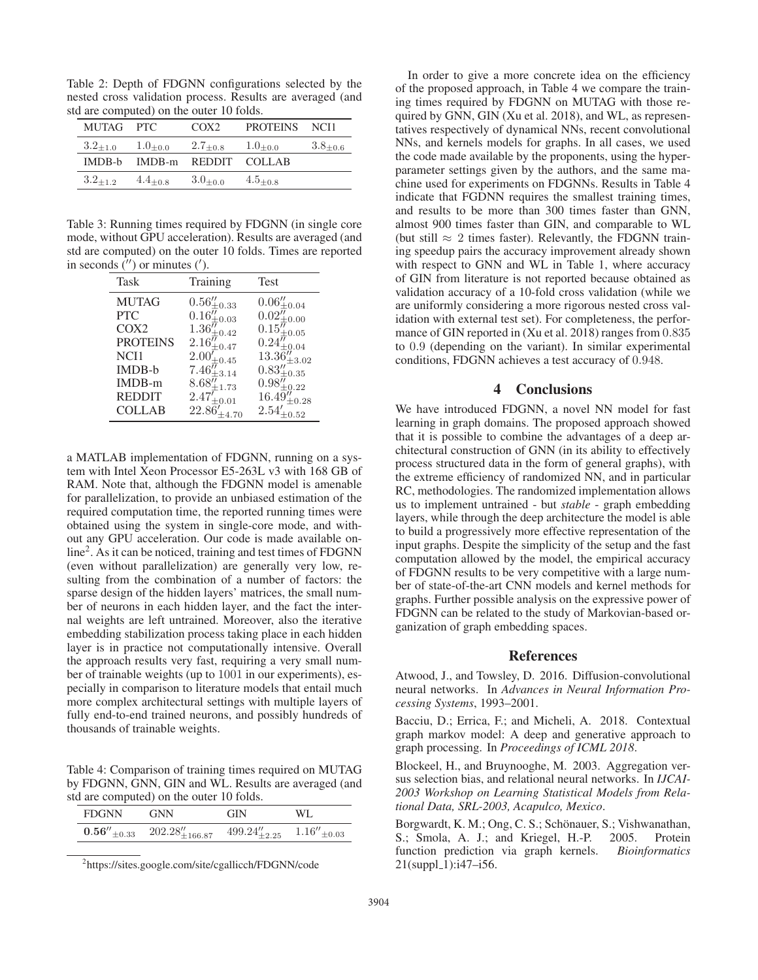Table 2: Depth of FDGNN configurations selected by the nested cross validation process. Results are averaged (and std are computed) on the outer 10 folds.

| MUTAG PTC    |                             | COX <sub>2</sub> | PROTEINS NCI1 |                 |
|--------------|-----------------------------|------------------|---------------|-----------------|
| $3.2_{+1.0}$ | $1.0_{+0.0}$                | $2.7_{+0.8}$     | $1.0_{+0.0}$  | $3.8_{\pm 0.6}$ |
|              | IMDB-b IMDB-m REDDIT COLLAB |                  |               |                 |
| $3.2_{+12}$  | $4.4_{+0.8}$                | $3.0_{+0.0}$     | $4.5_{+0.8}$  |                 |

Table 3: Running times required by FDGNN (in single core mode, without GPU acceleration). Results are averaged (and std are computed) on the outer 10 folds. Times are reported in seconds  $('')$  or minutes  $(')$ .

| Task             | Training                            | Test                                      |
|------------------|-------------------------------------|-------------------------------------------|
| <b>MUTAG</b>     | $0.56_{\pm0.33}^{\prime\prime}$     | $0.06\rm_{\pm0.04}^{\prime\prime}$        |
| <b>PTC</b>       | $0.16^{\overline{\eta}}_{\pm 0.03}$ | $0.02\ensuremath{''}\xspace_{\pm0.00}$    |
| COX <sub>2</sub> | $1.36^{j\prime}_{\pm 0.42}$         | $0.15_{\pm0.05}^{\prime\prime}$           |
| <b>PROTEINS</b>  | $2.16''_{\pm 0.47}$                 | $0.24_{\pm0.04}^{\prime\prime}$           |
| NCI1             | $2.00^{\prime}_{\pm 0.45}$          | $13.36''_{\pm 3.02}$                      |
| IMDB-b           | $7.46_{\pm3.14}^{\prime\prime}$     | $0.83_{\pm0.35}^{\prime\prime}$           |
| $IMDB-m$         | $8.68\%_{\pm{1.73}}$                | $0.98\substack{ \prime\prime\\ \pm0.22 }$ |
| <b>REDDIT</b>    | $2.47_{\pm0.01}^{\prime}$           | $16.49_{\pm 0.28}''$                      |
| <b>COLLAB</b>    | $22.86'_{\pm 4.70}$                 | $2.54\prime_{\pm0.52}$                    |

a MATLAB implementation of FDGNN, running on a system with Intel Xeon Processor E5-263L v3 with 168 GB of RAM. Note that, although the FDGNN model is amenable for parallelization, to provide an unbiased estimation of the required computation time, the reported running times were obtained using the system in single-core mode, and without any GPU acceleration. Our code is made available online<sup>2</sup>. As it can be noticed, training and test times of FDGNN (even without parallelization) are generally very low, resulting from the combination of a number of factors: the sparse design of the hidden layers' matrices, the small number of neurons in each hidden layer, and the fact the internal weights are left untrained. Moreover, also the iterative embedding stabilization process taking place in each hidden layer is in practice not computationally intensive. Overall the approach results very fast, requiring a very small number of trainable weights (up to 1001 in our experiments), especially in comparison to literature models that entail much more complex architectural settings with multiple layers of fully end-to-end trained neurons, and possibly hundreds of thousands of trainable weights.

Table 4: Comparison of training times required on MUTAG by FDGNN, GNN, GIN and WL. Results are averaged (and std are computed) on the outer 10 folds.

| <b>FDGNN</b> | <b>GNN</b>                                                                                       | <b>GIN</b> | WL. |
|--------------|--------------------------------------------------------------------------------------------------|------------|-----|
|              | <b>0.56</b> $''_{\pm 0.33}$ 202.28 $''_{\pm 166.87}$ 499.24 $''_{\pm 2.25}$ 1.16 $''_{\pm 0.03}$ |            |     |

2 https://sites.google.com/site/cgallicch/FDGNN/code

In order to give a more concrete idea on the efficiency of the proposed approach, in Table 4 we compare the training times required by FDGNN on MUTAG with those required by GNN, GIN (Xu et al. 2018), and WL, as representatives respectively of dynamical NNs, recent convolutional NNs, and kernels models for graphs. In all cases, we used the code made available by the proponents, using the hyperparameter settings given by the authors, and the same machine used for experiments on FDGNNs. Results in Table 4 indicate that FGDNN requires the smallest training times, and results to be more than 300 times faster than GNN, almost 900 times faster than GIN, and comparable to WL (but still  $\approx 2$  times faster). Relevantly, the FDGNN training speedup pairs the accuracy improvement already shown with respect to GNN and WL in Table 1, where accuracy of GIN from literature is not reported because obtained as validation accuracy of a 10-fold cross validation (while we are uniformly considering a more rigorous nested cross validation with external test set). For completeness, the performance of GIN reported in (Xu et al. 2018) ranges from 0.835 to 0.9 (depending on the variant). In similar experimental conditions, FDGNN achieves a test accuracy of 0.948.

# 4 Conclusions

We have introduced FDGNN, a novel NN model for fast learning in graph domains. The proposed approach showed that it is possible to combine the advantages of a deep architectural construction of GNN (in its ability to effectively process structured data in the form of general graphs), with the extreme efficiency of randomized NN, and in particular RC, methodologies. The randomized implementation allows us to implement untrained - but *stable* - graph embedding layers, while through the deep architecture the model is able to build a progressively more effective representation of the input graphs. Despite the simplicity of the setup and the fast computation allowed by the model, the empirical accuracy of FDGNN results to be very competitive with a large number of state-of-the-art CNN models and kernel methods for graphs. Further possible analysis on the expressive power of FDGNN can be related to the study of Markovian-based organization of graph embedding spaces.

#### References

Atwood, J., and Towsley, D. 2016. Diffusion-convolutional neural networks. In *Advances in Neural Information Processing Systems*, 1993–2001.

Bacciu, D.; Errica, F.; and Micheli, A. 2018. Contextual graph markov model: A deep and generative approach to graph processing. In *Proceedings of ICML 2018*.

Blockeel, H., and Bruynooghe, M. 2003. Aggregation versus selection bias, and relational neural networks. In *IJCAI-2003 Workshop on Learning Statistical Models from Relational Data, SRL-2003, Acapulco, Mexico*.

Borgwardt, K. M.; Ong, C. S.; Schönauer, S.; Vishwanathan, S.; Smola, A. J.; and Kriegel, H.-P. 2005. Protein function prediction via graph kernels. *Bioinformatics*  $21(suppl_1):i47-i56.$